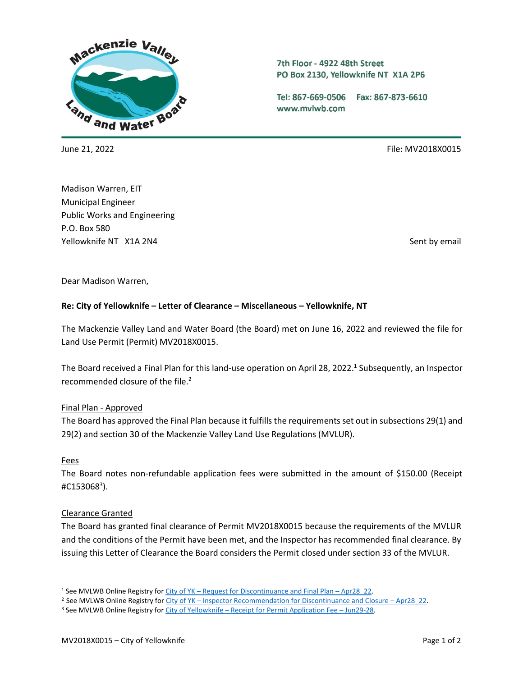

7th Floor - 4922 48th Street PO Box 2130, Yellowknife NT X1A 2P6

Tel: 867-669-0506 Fax: 867-873-6610 www.mvlwb.com

June 21, 2022 File: MV2018X0015

Madison Warren, EIT Municipal Engineer Public Works and Engineering P.O. Box 580 Yellowknife NT X1A 2N4 Sent by email and the sent by email sent by email sent by email sent by email

Dear Madison Warren,

## **Re: City of Yellowknife – Letter of Clearance – Miscellaneous – Yellowknife, NT**

The Mackenzie Valley Land and Water Board (the Board) met on June 16, 2022 and reviewed the file for Land Use Permit (Permit) MV2018X0015.

The Board received a Final Plan for this land-use operation on April 28, 2022. 1 Subsequently, an Inspector recommended closure of the file.<sup>2</sup>

## Final Plan - Approved

The Board has approved the Final Plan because it fulfills the requirements set out in subsections 29(1) and 29(2) and section 30 of the Mackenzie Valley Land Use Regulations (MVLUR).

## **Fees**

The Board notes non-refundable application fees were submitted in the amount of \$150.00 (Receipt #C153068<sup>3</sup> ).

## Clearance Granted

The Board has granted final clearance of Permit MV2018X0015 because the requirements of the MVLUR and the conditions of the Permit have been met, and the Inspector has recommended final clearance. By issuing this Letter of Clearance the Board considers the Permit closed under section 33 of the MVLUR.

<sup>1</sup> See MVLWB Online Registry for City of YK - [Request for Discontinuance and Final Plan](https://registry.mvlwb.ca/Documents/MV2018X0015/City%20of%20YK%20-%20Request%20for%20Discontinuance%20and%20Final%20Plan%20-%20Apr28_22.pdf) - Apr28 22.

<sup>2</sup> See MVLWB Online Registry for City of YK – [Inspector Recommendation for Discontinuance and Closure](https://registry.mvlwb.ca/Documents/MV2018X0015/City%20of%20YK%20-%20Inspector%20Recommendation%20for%20Discontinuance%20and%20Closure%20-%20Apr28_22.pdf) – Apr28\_22.

<sup>&</sup>lt;sup>3</sup> See MVLWB Online Registry for City of Yellowknife – [Receipt for Permit Application Fee](https://registry.mvlwb.ca/Documents/MV2018X0015/MV2018X0015%20-%20City%20of%20YK%20-%20receipt%20for%20Permit%20application%20fee%20-%20Jun29-18.pdf) – Jun29-28.